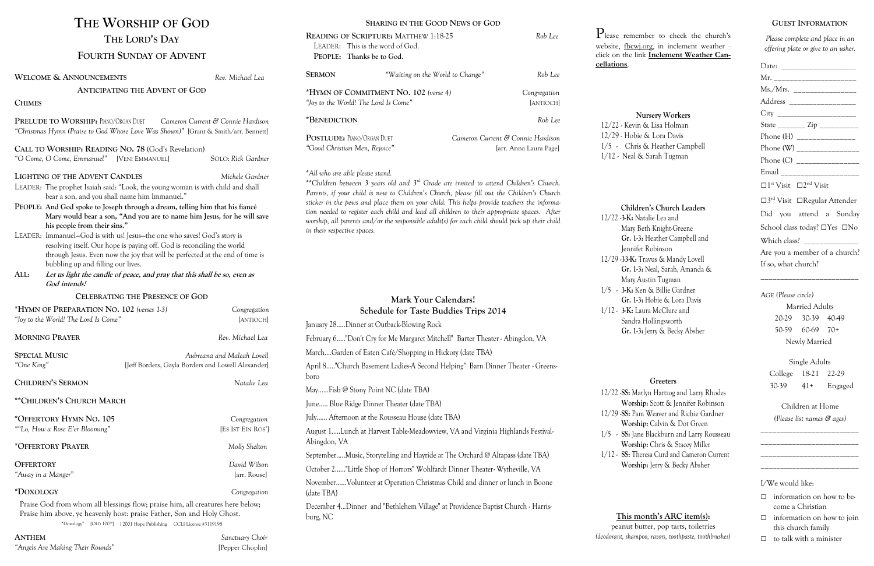**Ratalie Lea and** ry Beth Knight-Greene **Gr. 1-3:** Heather Campbell and nifer Robinson K: Travus & Mandy Lovell **Gr. 1-3:** Neal, Sarah, Amanda & ry Austin Tugman 1/5 - **3-K:** Ken & Billie Gardner **Gr. 1-3:** Hobie & Lora Davis  $:$  Laura McClure and dra Hollingsworth **Gr. 1-3:** Jerry & Becky Absher

**Marlyn Hartzog and Larry Rhodes Worship:** Scott & Jennifer Robinson Pam Weaver and Richie Gardner **Worship:** Calvin & Dot Green Jane Blackburn and Larry Rousseau **Worship:** Chris & Stacey Miller Theresa Curd and Cameron Current **Worship:** Jerry & Becky Absher

t butter, pop tarts, toiletries *(deodorant, shampoo, razors, toothpaste, toothbrushes)*

| Mr. _________________________                             |
|-----------------------------------------------------------|
| Ms./Mrs. __________________                               |
| Address ___________________                               |
| City _______________________                              |
| State _________ Zip ___________                           |
|                                                           |
| Phone (W) ________________                                |
| Phone (C) _________________                               |
| Email _______________________                             |
| $\Box$ 1 <sup>st</sup> Visit $\Box$ 2 <sup>nd</sup> Visit |
| $\square 3^{\rm rd}$ Visit $\square$ Regular Attender     |
| Did you attend a Sunday                                   |
| School class today? □Yes □No                              |
| Which class? _______________                              |
| Are you a member of a church?                             |
| If so, what church?                                       |

- $\Box$  information on how to become a Christian
- □ information on how to join this church family
- □ to talk with a minister

#### **Nursery Workers**

evin & Lisa Holman obie & Lora Davis hris & Heather Campbell ral & Sarah Tugman

#### **Children's Church Leaders**

#### **Greeters**

## **This month's ARC item(s):**

| THE WORSHIP OF GOD                                                                                                                                                                                                                                                                                                                                                                                                                                                                                                                                                                         |                                                                                                                                                                            | <b>SHARING IN THE GOOD NEWS OF GOD</b>                                           |                                                                                |                                                                                                                                                                                                                                                                                                                                                                                                                                                                                               |                                  |                                                                                |  |
|--------------------------------------------------------------------------------------------------------------------------------------------------------------------------------------------------------------------------------------------------------------------------------------------------------------------------------------------------------------------------------------------------------------------------------------------------------------------------------------------------------------------------------------------------------------------------------------------|----------------------------------------------------------------------------------------------------------------------------------------------------------------------------|----------------------------------------------------------------------------------|--------------------------------------------------------------------------------|-----------------------------------------------------------------------------------------------------------------------------------------------------------------------------------------------------------------------------------------------------------------------------------------------------------------------------------------------------------------------------------------------------------------------------------------------------------------------------------------------|----------------------------------|--------------------------------------------------------------------------------|--|
| THE LORD'S DAY                                                                                                                                                                                                                                                                                                                                                                                                                                                                                                                                                                             | READING OF SCRIPTURE: MATTHEW 1:18-25<br>Rob Lee<br>LEADER: This is the word of God.                                                                                       |                                                                                  |                                                                                | $P_{\text{lease ren}}$<br>website, fbo                                                                                                                                                                                                                                                                                                                                                                                                                                                        |                                  |                                                                                |  |
| <b>FOURTH SUNDAY OF ADVENT</b>                                                                                                                                                                                                                                                                                                                                                                                                                                                                                                                                                             |                                                                                                                                                                            | PEOPLE: Thanks be to God.                                                        |                                                                                |                                                                                                                                                                                                                                                                                                                                                                                                                                                                                               | click on the<br>cellations.      |                                                                                |  |
| <b>WELCOME &amp; ANNOUNCEMENTS</b>                                                                                                                                                                                                                                                                                                                                                                                                                                                                                                                                                         | Rev. Michael Lea                                                                                                                                                           | <b>SERMON</b>                                                                    |                                                                                | "Waiting on the World to Change"                                                                                                                                                                                                                                                                                                                                                                                                                                                              | Rob Lee                          |                                                                                |  |
| <b>ANTICIPATING THE ADVENT OF GOD</b>                                                                                                                                                                                                                                                                                                                                                                                                                                                                                                                                                      |                                                                                                                                                                            |                                                                                  | *HYMN OF COMMITMENT NO. 102 (verse 4)                                          |                                                                                                                                                                                                                                                                                                                                                                                                                                                                                               | Congregation                     |                                                                                |  |
| <b>CHIMES</b>                                                                                                                                                                                                                                                                                                                                                                                                                                                                                                                                                                              |                                                                                                                                                                            |                                                                                  | "Joy to the World! The Lord Is Come"                                           |                                                                                                                                                                                                                                                                                                                                                                                                                                                                                               | [ANTIOCH]                        |                                                                                |  |
| PRELUDE TO WORSHIP: PIANO/ORGAN DUET<br>Cameron Current & Connie Hardison<br>"Christmas Hymn (Praise to God Whose Love Was Shown)" [Grant & Smith/arr. Bennett]                                                                                                                                                                                                                                                                                                                                                                                                                            |                                                                                                                                                                            | *BENEDICTION                                                                     |                                                                                |                                                                                                                                                                                                                                                                                                                                                                                                                                                                                               | Rob Lee                          | $12/22 - Ke$                                                                   |  |
|                                                                                                                                                                                                                                                                                                                                                                                                                                                                                                                                                                                            | <b>POSTLUDE: PIANO/ORGAN DUET</b>                                                                                                                                          |                                                                                  |                                                                                | Cameron Current & Connie Hardison                                                                                                                                                                                                                                                                                                                                                                                                                                                             | $12/29$ $\cdot$ Ho<br>$1/5$ - Cl |                                                                                |  |
| CALL TO WORSHIP: READING NO. 78 (God's Revelation)<br>"O Come, O Come, Emmanuel" [VENI EMMANUEL]                                                                                                                                                                                                                                                                                                                                                                                                                                                                                           | "Good Christian Men, Rejoice"<br>[arr. Anna Laura Page]                                                                                                                    |                                                                                  |                                                                                |                                                                                                                                                                                                                                                                                                                                                                                                                                                                                               | $1/12$ - Nea                     |                                                                                |  |
| <b>LIGHTING OF THE ADVENT CANDLES</b><br>LEADER: The prophet Isaiah said: "Look, the young woman is with child and shall<br>bear a son, and you shall name him Immanuel."<br>PEOPLE: And God spoke to Joseph through a dream, telling him that his fiance<br>his people from their sins."<br>LEADER: Immanuel-God is with us! Jesus-the one who saves! God's story is<br>resolving itself. Our hope is paying off. God is reconciling the world<br>bubbling up and filling our lives.<br>Let us light the candle of peace, and pray that this shall be so, even as<br>ALL:<br>God intends! | Michele Gardner<br>Mary would bear a son, "And you are to name him Jesus, for he will save<br>through Jesus. Even now the joy that will be perfected at the end of time is | *All who are able please stand.<br>in their respective spaces.                   |                                                                                | **Children between 3 years old and 3 <sup>rd</sup> Grade are invited to attend Children's Church.<br>Parents, if your child is new to Children's Church, please fill out the Children's Church<br>sticker in the pews and place them on your child. This helps provide teachers the informa-<br>tion needed to register each child and lead all children to their appropriate spaces. After<br>worship, all parents and/or the responsible adult(s) for each child should pick up their child |                                  | Chi<br>$12/22 - 3 - K$<br>Mar<br>Gr.<br>Jeni<br>$12/29 - 33 - 1$<br>Gr.<br>Mar |  |
| <b>CELEBRATING THE PRESENCE OF GOD</b>                                                                                                                                                                                                                                                                                                                                                                                                                                                                                                                                                     |                                                                                                                                                                            |                                                                                  |                                                                                | Mark Your Calendars!                                                                                                                                                                                                                                                                                                                                                                                                                                                                          |                                  | $1/5 - 3$ -K<br>Gr.                                                            |  |
| *HYMN OF PREPARATION NO. 102 (verses 1-3)<br>Congregation<br>"Joy to the World! The Lord Is Come"<br>[ANTIOCH]                                                                                                                                                                                                                                                                                                                                                                                                                                                                             |                                                                                                                                                                            |                                                                                  |                                                                                | <b>Schedule for Taste Buddies Trips 2014</b>                                                                                                                                                                                                                                                                                                                                                                                                                                                  |                                  | $1/12 - 3$ -K                                                                  |  |
|                                                                                                                                                                                                                                                                                                                                                                                                                                                                                                                                                                                            |                                                                                                                                                                            | January 28Dinner at Outback-Blowing Rock                                         |                                                                                |                                                                                                                                                                                                                                                                                                                                                                                                                                                                                               | San                              |                                                                                |  |
| <b>MORNING PRAYER</b>                                                                                                                                                                                                                                                                                                                                                                                                                                                                                                                                                                      | Rev. Michael Lea                                                                                                                                                           | February 6"Don't Cry for Me Margaret Mitchell" Barter Theater - Abingdon, VA     |                                                                                |                                                                                                                                                                                                                                                                                                                                                                                                                                                                                               | Gr.                              |                                                                                |  |
| <b>SPECIAL MUSIC</b><br>Aubreana and Maleah Lovell                                                                                                                                                                                                                                                                                                                                                                                                                                                                                                                                         |                                                                                                                                                                            | MarchGarden of Eaten Café/Shopping in Hickory (date TBA)                         |                                                                                |                                                                                                                                                                                                                                                                                                                                                                                                                                                                                               |                                  |                                                                                |  |
| "One King"                                                                                                                                                                                                                                                                                                                                                                                                                                                                                                                                                                                 | [Jeff Borders, Gayla Borders and Lowell Alexander]                                                                                                                         |                                                                                  | April 8"Church Basement Ladies-A Second Helping" Barn Dinner Theater - Greens- |                                                                                                                                                                                                                                                                                                                                                                                                                                                                                               |                                  |                                                                                |  |
| <b>CHILDREN'S SERMON</b><br>Natalie Lea                                                                                                                                                                                                                                                                                                                                                                                                                                                                                                                                                    |                                                                                                                                                                            | boro                                                                             |                                                                                |                                                                                                                                                                                                                                                                                                                                                                                                                                                                                               |                                  |                                                                                |  |
| <b>** CHILDREN'S CHURCH MARCH</b>                                                                                                                                                                                                                                                                                                                                                                                                                                                                                                                                                          |                                                                                                                                                                            | MayFish @ Stony Point NC (date TBA)<br>June Blue Ridge Dinner Theater (date TBA) |                                                                                |                                                                                                                                                                                                                                                                                                                                                                                                                                                                                               | $12/22$ -SS:<br><b>Wo</b>        |                                                                                |  |
| *OFFERTORY HYMN NO. 105                                                                                                                                                                                                                                                                                                                                                                                                                                                                                                                                                                    | Congregation                                                                                                                                                               |                                                                                  | July Afternoon at the Rousseau House (date TBA)                                |                                                                                                                                                                                                                                                                                                                                                                                                                                                                                               |                                  | $12/29$ -SS:                                                                   |  |
| ""Lo, How a Rose E'er Blooming"                                                                                                                                                                                                                                                                                                                                                                                                                                                                                                                                                            | [ES IST EIN ROS']                                                                                                                                                          |                                                                                  |                                                                                | August 1Lunch at Harvest Table-Meadowview, VA and Virginia Highlands Festival-                                                                                                                                                                                                                                                                                                                                                                                                                |                                  | Wo<br>$1/5$ - SS:                                                              |  |
| *OFFERTORY PRAYER                                                                                                                                                                                                                                                                                                                                                                                                                                                                                                                                                                          | Molly Shelton                                                                                                                                                              | Abingdon, VA                                                                     |                                                                                |                                                                                                                                                                                                                                                                                                                                                                                                                                                                                               |                                  | Wo                                                                             |  |
|                                                                                                                                                                                                                                                                                                                                                                                                                                                                                                                                                                                            |                                                                                                                                                                            |                                                                                  |                                                                                | SeptemberMusic, Storytelling and Hayride at The Orchard @ Altapass (date TBA)                                                                                                                                                                                                                                                                                                                                                                                                                 |                                  | $1/12$ - SS:                                                                   |  |
| <b>OFFERTORY</b><br>"Away in a Manger"                                                                                                                                                                                                                                                                                                                                                                                                                                                                                                                                                     | David Wilson<br>[arr. Rouse]                                                                                                                                               | October 2"Little Shop of Horrors" Wohlfardt Dinner Theater- Wytheville, VA       |                                                                                |                                                                                                                                                                                                                                                                                                                                                                                                                                                                                               |                                  | Wo                                                                             |  |
| *DOXOLOGY                                                                                                                                                                                                                                                                                                                                                                                                                                                                                                                                                                                  | Congregation                                                                                                                                                               | (date TBA)                                                                       |                                                                                | November Volunteer at Operation Christmas Child and dinner or lunch in Boone                                                                                                                                                                                                                                                                                                                                                                                                                  |                                  |                                                                                |  |
| Praise God from whom all blessings flow; praise him, all creatures here below;<br>Praise him above, ye heavenly host: praise Father, Son and Holy Ghost.<br>"Doxology" [OLD 100 <sup>TH</sup> ] 12001 Hope Publishing CCLI License #3119198                                                                                                                                                                                                                                                                                                                                                |                                                                                                                                                                            | burg, NC                                                                         |                                                                                | December 4Dinner and "Bethlehem Village" at Providence Baptist Church - Harris-                                                                                                                                                                                                                                                                                                                                                                                                               |                                  | This<br>peanut                                                                 |  |

## **GUEST INFORMATION**

*Please complete and place in an offering plate or give to an usher.*

\_\_\_\_\_\_\_\_\_\_\_\_\_\_\_\_\_\_\_\_\_\_\_\_\_

AGE *(Please circle)* Married Adults 20-29 30-39 40-49 50-59 60-69 70+ Newly Married

Single Adults College 18-21 22-29 30-39 41+ Engaged

Children at Home *(Please list names & ages)*

\_\_\_\_\_\_\_\_\_\_\_\_\_\_\_\_\_\_\_\_\_\_\_\_\_ \_\_\_\_\_\_\_\_\_\_\_\_\_\_\_\_\_\_\_\_\_\_\_\_\_ \_\_\_\_\_\_\_\_\_\_\_\_\_\_\_\_\_\_\_\_\_\_\_\_\_ \_\_\_\_\_\_\_\_\_\_\_\_\_\_\_\_\_\_\_\_\_\_\_\_\_

I/We would like:

**ANTHEM** *Sanctuary Choir "Angels Are Making Their Rounds"* [Pepper Choplin]

nember to check the church's  $\frac{\text{cw}_1 \cdot \text{org}}{\text{cm}_2 \cdot \text{cm}_3}$  in inclement weather **c** link **[Inclement Weather Can-](http://ncweatherclosings.com/search/county/37009)**